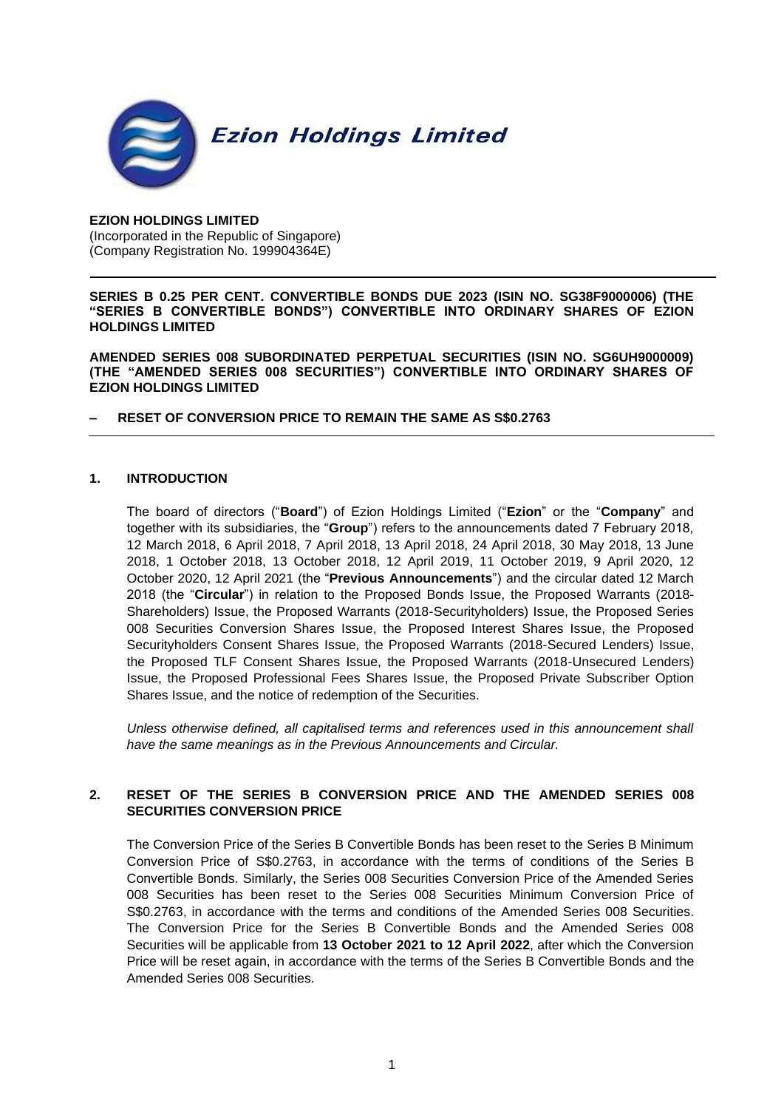

### **EZION HOLDINGS LIMITED** (Incorporated in the Republic of Singapore) (Company Registration No. 199904364E)

**SERIES B 0.25 PER CENT. CONVERTIBLE BONDS DUE 2023 (ISIN NO. SG38F9000006) (THE "SERIES B CONVERTIBLE BONDS") CONVERTIBLE INTO ORDINARY SHARES OF EZION HOLDINGS LIMITED** 

**AMENDED SERIES 008 SUBORDINATED PERPETUAL SECURITIES (ISIN NO. SG6UH9000009) (THE "AMENDED SERIES 008 SECURITIES") CONVERTIBLE INTO ORDINARY SHARES OF EZION HOLDINGS LIMITED**

**– RESET OF CONVERSION PRICE TO REMAIN THE SAME AS S\$0.2763**

### **1. INTRODUCTION**

The board of directors ("**Board**") of Ezion Holdings Limited ("**Ezion**" or the "**Company**" and together with its subsidiaries, the "**Group**") refers to the announcements dated 7 February 2018, 12 March 2018, 6 April 2018, 7 April 2018, 13 April 2018, 24 April 2018, 30 May 2018, 13 June 2018, 1 October 2018, 13 October 2018, 12 April 2019, 11 October 2019, 9 April 2020, 12 October 2020, 12 April 2021 (the "**Previous Announcements**") and the circular dated 12 March 2018 (the "**Circular**") in relation to the Proposed Bonds Issue, the Proposed Warrants (2018- Shareholders) Issue, the Proposed Warrants (2018-Securityholders) Issue, the Proposed Series 008 Securities Conversion Shares Issue, the Proposed Interest Shares Issue, the Proposed Securityholders Consent Shares Issue, the Proposed Warrants (2018-Secured Lenders) Issue, the Proposed TLF Consent Shares Issue, the Proposed Warrants (2018-Unsecured Lenders) Issue, the Proposed Professional Fees Shares Issue, the Proposed Private Subscriber Option Shares Issue, and the notice of redemption of the Securities.

Unless otherwise defined, all capitalised terms and references used in this announcement shall *have the same meanings as in the Previous Announcements and Circular.*

# **2. RESET OF THE SERIES B CONVERSION PRICE AND THE AMENDED SERIES 008 SECURITIES CONVERSION PRICE**

The Conversion Price of the Series B Convertible Bonds has been reset to the Series B Minimum Conversion Price of S\$0.2763, in accordance with the terms of conditions of the Series B Convertible Bonds. Similarly, the Series 008 Securities Conversion Price of the Amended Series 008 Securities has been reset to the Series 008 Securities Minimum Conversion Price of S\$0.2763, in accordance with the terms and conditions of the Amended Series 008 Securities. The Conversion Price for the Series B Convertible Bonds and the Amended Series 008 Securities will be applicable from **13 October 2021 to 12 April 2022**, after which the Conversion Price will be reset again, in accordance with the terms of the Series B Convertible Bonds and the Amended Series 008 Securities.